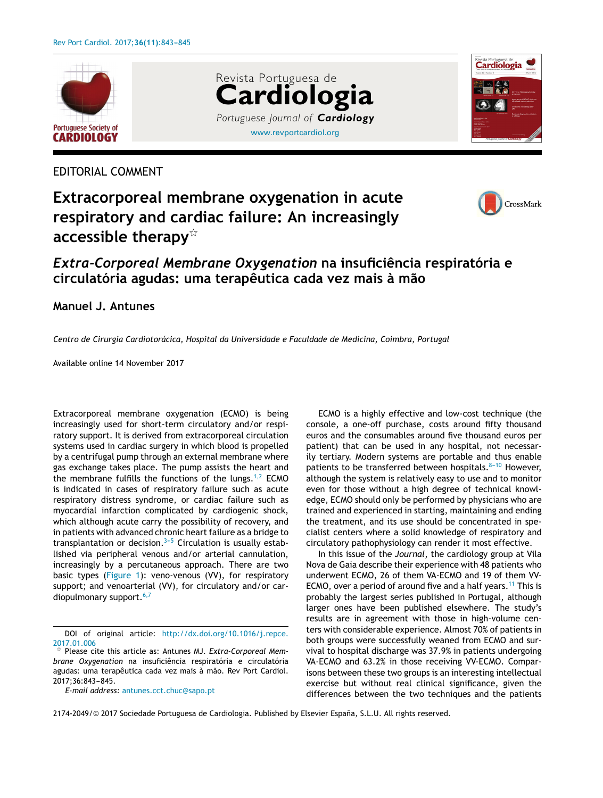

EDITORIAL COMMENT

# [www.revportcardiol.org](http://www.revportcardiol.org) Revista Portuguesa de **Cardiologia** *Portuguese Journal of Cardiology*







# *Extra-Corporeal Membrane Oxygenation* **na insuficiência respiratória e circulatória agudas: uma terapêutica cada vez mais à mão**

### **Manuel J. Antunes**

*Centro de Cirurgia Cardiotorácica, Hospital da Universidade e Faculdade de Medicina, Coimbra, Portugal*

Available online 14 November 2017

Extracorporeal membrane oxygenation (ECMO) is being increasingly used for short-term circulatory and/or respiratory support. It is derived from extracorporeal circulation systems used in cardiac surgery in which blood is propelled by a centrifugal pump through an external membrane where gas exchange takes place. The pump assists the heart and the membrane fulfills the functions of the lungs.<sup>[1,2](#page-2-0)</sup> ECMO is indicated in cases of respiratory failure such as acute respiratory distress syndrome, or cardiac failure such as myocardial infarction complicated by cardiogenic shock, which although acute carry the possibility of recovery, and in patients with advanced chronic heart failure as a bridge to transplantation or decision. $3-5$  Circulation is usually established via peripheral venous and/or arterial cannulation, increasingly by a percutaneous approach. There are two basic types ([Figure](#page-1-0) 1): veno-venous (VV), for respiratory support; and venoarterial (VV), for circulatory and/or cardiopulmonary support. $6,7$ 

*E-mail address:* [antunes.cct.chuc@sapo.pt](mailto:antunes.cct.chuc@sapo.pt)

ECMO is a highly effective and low-cost technique (the console, a one-off purchase, costs around fifty thousand euros and the consumables around five thousand euros per patient) that can be used in any hospital, not necessarily tertiary. Modern systems are portable and thus enable patients to be transferred between hospitals. $8-10$  However, although the system is relatively easy to use and to monitor even for those without a high degree of technical knowledge, ECMO should only be performed by physicians who are trained and experienced in starting, maintaining and ending the treatment, and its use should be concentrated in specialist centers where a solid knowledge of respiratory and circulatory pathophysiology can render it most effective.

In this issue of the *Journal*, the cardiology group at Vila Nova de Gaia describe their experience with 48 patients who underwent ECMO, 26 of them VA-ECMO and 19 of them VV-ECMO, over a period of around five and a half years.<sup>[11](#page-2-0)</sup> This is probably the largest series published in Portugal, although larger ones have been published elsewhere. The study's results are in agreement with those in high-volume centers with considerable experience. Almost 70% of patients in both groups were successfully weaned from ECMO and survival to hospital discharge was 37.9% in patients undergoing VA-ECMO and 63.2% in those receiving VV-ECMO. Comparisons between these two groups is an interesting intellectual exercise but without real clinical significance, given the differences between the two techniques and the patients

2174-2049/© 2017 Sociedade Portuguesa de Cardiologia. Published by Elsevier España, S.L.U. All rights reserved.

DOI of original article: [http://dx.doi.org/10.1016/j.repce.](http://dx.doi.org/10.1016/j.repce.2017.01.006) [2017.01.006](http://dx.doi.org/10.1016/j.repce.2017.01.006)<br>تعرضها

Please cite this article as: Antunes MJ. *Extra-Corporeal Membrane Oxygenation* na insuficiência respiratória e circulatória agudas: uma terapêutica cada vez mais à mão. Rev Port Cardiol. 2017;36:843-845.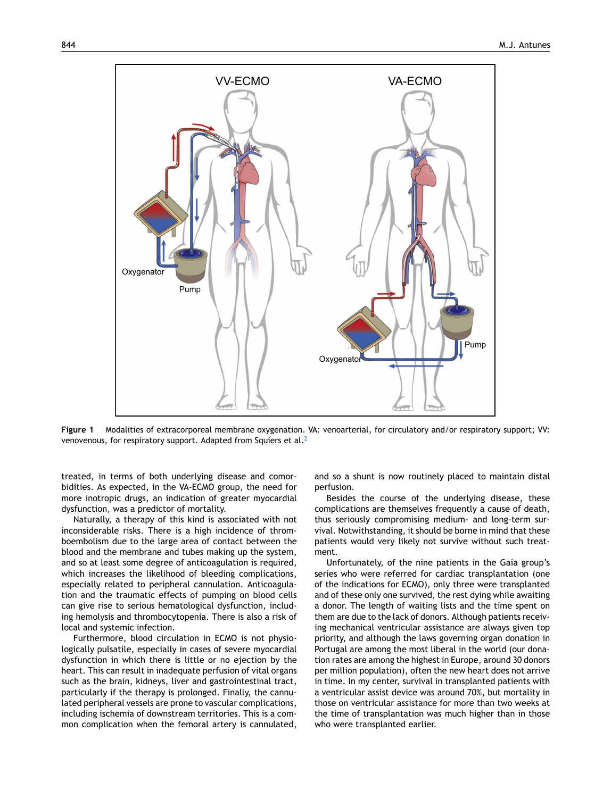<span id="page-1-0"></span>

**Figure 1** Modalities of extracorporeal membrane oxygenation. VA: venoarterial, for circulatory and/or respiratory support; VV: venovenous, for respiratory support. Adapted from Squiers et al.<sup>[2](#page-2-0)</sup>

treated, in terms of both underlying disease and comorbidities. As expected, in the VA-ECMO group, the need for more inotropic drugs, an indication of greater myocardial dysfunction, was a predictor of mortality.

Naturally, a therapy of this kind is associated with not inconsiderable risks. There is a high incidence of thromboembolism due to the large area of contact between the blood and the membrane and tubes making up the system, and so at least some degree of anticoagulation is required, which increases the likelihood of bleeding complications, especially related to peripheral cannulation. Anticoagulation and the traumatic effects of pumping on blood cells can give rise to serious hematological dysfunction, including hemolysis and thrombocytopenia. There is also a risk of local and systemic infection.

Furthermore, blood circulation in ECMO is not physiologically pulsatile, especially in cases of severe myocardial dysfunction in which there is little or no ejection by the heart. This can result in inadequate perfusion of vital organs such as the brain, kidneys, liver and gastrointestinal tract, particularly if the therapy is prolonged. Finally, the cannulated peripheral vessels are prone to vascular complications, including ischemia of downstream territories. This is a common complication when the femoral artery is cannulated, and so a shunt is now routinely placed to maintain distal perfusion.

Besides the course of the underlying disease, these complications are themselves frequently a cause of death, thus seriously compromising medium- and long-term survival. Notwithstanding, it should be borne in mind that these patients would very likely not survive without such treatment.

Unfortunately, of the nine patients in the Gaia group's series who were referred for cardiac transplantation (one of the indications for ECMO), only three were transplanted and of these only one survived, the rest dying while awaiting a donor. The length of waiting lists and the time spent on them are due to the lack of donors. Although patients receiving mechanical ventricular assistance are always given top priority, and although the laws governing organ donation in Portugal are among the most liberal in the world (our donation rates are among the highest in Europe, around 30 donors per million population), often the new heart does not arrive in time. In my center, survival in transplanted patients with a ventricular assist device was around 70%, but mortality in those on ventricular assistance for more than two weeks at the time of transplantation was much higher than in those who were transplanted earlier.